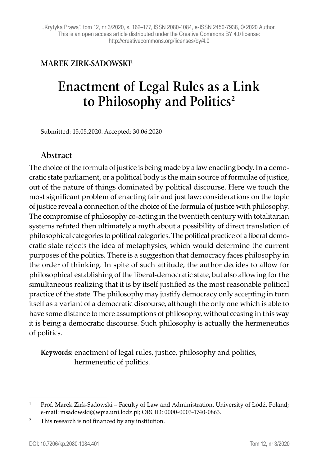## **MAREK ZIRK-SADOWSKI1**

# **Enactment of Legal Rules as a Link**  to Philosophy and Politics<sup>2</sup>

Submitted: 15.05.2020. Accepted: 30.06.2020

### **Abstract**

The choice of the formula of justice is being made by a law enacting body. In a democratic state parliament, or a political body is the main source of formulae of justice, out of the nature of things dominated by political discourse. Here we touch the most significant problem of enacting fair and just law: considerations on the topic of justice reveal a connection of the choice of the formula of justice with philosophy. The compromise of philosophy co-acting in the twentieth century with totalitarian systems refuted then ultimately a myth about a possibility of direct translation of philosophical categories to political categories. The political practice of a liberal democratic state rejects the idea of metaphysics, which would determine the current purposes of the politics. There is a suggestion that democracy faces philosophy in the order of thinking. In spite of such attitude, the author decides to allow for philosophical establishing of the liberal-democratic state, but also allowing for the simultaneous realizing that it is by itself justified as the most reasonable political practice of the state. The philosophy may justify democracy only accepting in turn itself as a variant of a democratic discourse, although the only one which is able to have some distance to mere assumptions of philosophy, without ceasing in this way it is being a democratic discourse. Such philosophy is actually the hermeneutics of politics.

**Keywords:** enactment of legal rules, justice, philosophy and politics, hermeneutic of politics.

<sup>1</sup> Prof. Marek Zirk-Sadowski – Faculty of Law and Administration, University of Łódź, Poland; e-mail: msadowski@wpia.uni.lodz.pl; ORCID: 0000-0003-1740-0863.

<sup>&</sup>lt;sup>2</sup> This research is not financed by any institution.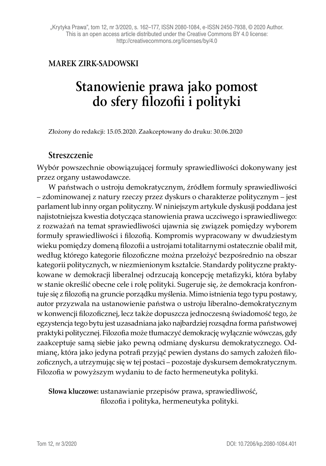## **MAREK ZIRK-SADOWSKI**

# **Stanowienie prawa jako pomost do sfery filozofii i polityki**

Złożony do redakcji: 15.05.2020. Zaakceptowany do druku: 30.06.2020

#### **Streszczenie**

Wybór powszechnie obowiązującej formuły sprawiedliwości dokonywany jest przez organy ustawodawcze.

W państwach o ustroju demokratycznym, źródłem formuły sprawiedliwości – zdominowanej z natury rzeczy przez dyskurs o charakterze politycznym – jest parlament lub inny organ polityczny. W niniejszym artykule dyskusji poddana jest najistotniejsza kwestia dotycząca stanowienia prawa uczciwego i sprawiedliwego: z rozważań na temat sprawiedliwości ujawnia się związek pomiędzy wyborem formuły sprawiedliwości i filozofią. Kompromis wypracowany w dwudziestym wieku pomiędzy domeną filozofii a ustrojami totalitarnymi ostatecznie obalił mit, według którego kategorie filozoficzne można przełożyć bezpośrednio na obszar kategorii politycznych, w niezmienionym kształcie. Standardy polityczne praktykowane w demokracji liberalnej odrzucają koncepcję metafizyki, która byłaby w stanie określić obecne cele i rolę polityki. Sugeruje się, że demokracja konfrontuje się z filozofią na gruncie porządku myślenia. Mimo istnienia tego typu postawy, autor przyzwala na ustanowienie państwa o ustroju liberalno-demokratycznym w konwencji filozoficznej, lecz także dopuszcza jednoczesną świadomość tego, że egzystencja tego bytu jest uzasadniana jako najbardziej rozsądna forma państwowej praktyki politycznej. Filozofia może tłumaczyć demokrację wyłącznie wówczas, gdy zaakceptuje samą siebie jako pewną odmianę dyskursu demokratycznego. Odmianę, która jako jedyna potrafi przyjąć pewien dystans do samych założeń filozoficznych, a utrzymując się w tej postaci – pozostaje dyskursem demokratycznym. Filozofia w powyższym wydaniu to de facto hermeneutyka polityki.

#### **Słowa kluczowe:** ustanawianie przepisów prawa, sprawiedliwość, filozofia i polityka, hermeneutyka polityki.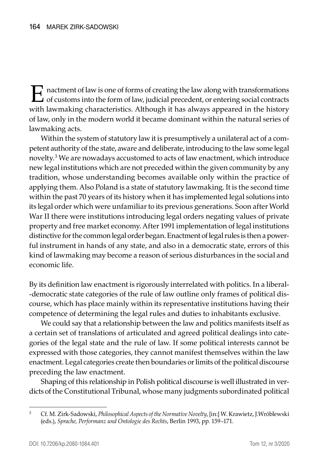E nactment of law is one of forms of creating the law along with transformations<br>of customs into the form of law, judicial precedent, or entering social contracts with lawmaking characteristics. Although it has always appeared in the history of law, only in the modern world it became dominant within the natural series of lawmaking acts.

Within the system of statutory law it is presumptively a unilateral act of a competent authority of the state, aware and deliberate, introducing to the law some legal novelty.3 We are nowadays accustomed to acts of law enactment, which introduce new legal institutions which are not preceded within the given community by any tradition, whose understanding becomes available only within the practice of applying them. Also Poland is a state of statutory lawmaking. It is the second time within the past 70 years of its history when it has implemented legal solutions into its legal order which were unfamiliar to its previous generations. Soon after World War II there were institutions introducing legal orders negating values of private property and free market economy. After 1991 implementation of legal institutions distinctive for the common legal order began. Enactment of legal rules is then a powerful instrument in hands of any state, and also in a democratic state, errors of this kind of lawmaking may become a reason of serious disturbances in the social and economic life.

By its definition law enactment is rigorously interrelated with politics. In a liberaldemocratic state categories of the rule of law outline only frames of political discourse, which has place mainly within its representative institutions having their competence of determining the legal rules and duties to inhabitants exclusive.

We could say that a relationship between the law and politics manifests itself as a certain set of translations of articulated and agreed political dealings into categories of the legal state and the rule of law. If some political interests cannot be expressed with those categories, they cannot manifest themselves within the law enactment. Legal categories create then boundaries or limits of the political discourse preceding the law enactment.

Shaping of this relationship in Polish political discourse is well illustrated in verdicts of the Constitutional Tribunal, whose many judgments subordinated political

<sup>3</sup> Cf. M. Zirk-Sadowski, *Philosophical Aspects of the Normative Novelty*, [in:] W. Krawietz, J.Wróblewski (eds.), *Sprache, Performanz und Ontologie des Rechts*, Berlin 1993, pp. 159–171.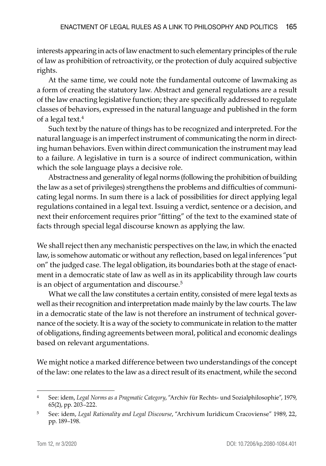interests appearing in acts of law enactment to such elementary principles of the rule of law as prohibition of retroactivity, or the protection of duly acquired subjective rights.

At the same time, we could note the fundamental outcome of lawmaking as a form of creating the statutory law. Abstract and general regulations are a result of the law enacting legislative function; they are specifically addressed to regulate classes of behaviors, expressed in the natural language and published in the form of a legal text.4

Such text by the nature of things has to be recognized and interpreted. For the natural language is an imperfect instrument of communicating the norm in directing human behaviors. Even within direct communication the instrument may lead to a failure. A legislative in turn is a source of indirect communication, within which the sole language plays a decisive role.

Abstractness and generality of legal norms (following the prohibition of building the law as a set of privileges) strengthens the problems and difficulties of communicating legal norms. In sum there is a lack of possibilities for direct applying legal regulations contained in a legal text. Issuing a verdict, sentence or a decision, and next their enforcement requires prior "fitting" of the text to the examined state of facts through special legal discourse known as applying the law.

We shall reject then any mechanistic perspectives on the law, in which the enacted law, is somehow automatic or without any reflection, based on legal inferences "put on" the judged case. The legal obligation, its boundaries both at the stage of enactment in a democratic state of law as well as in its applicability through law courts is an object of argumentation and discourse.<sup>5</sup>

What we call the law constitutes a certain entity, consisted of mere legal texts as well as their recognition and interpretation made mainly by the law courts. The law in a democratic state of the law is not therefore an instrument of technical governance of the society. It is a way of the society to communicate in relation to the matter of obligations, finding agreements between moral, political and economic dealings based on relevant argumentations.

We might notice a marked difference between two understandings of the concept of the law: one relates to the law as a direct result of its enactment, while the second

<sup>4</sup> See: idem, *Legal Norms as a Pragmatic Category*, "Archiv für Rechts- und Sozialphilosophie", 1979, 65(2), pp. 203–222.

<sup>5</sup> See: idem, *Legal Rationality and Legal Discourse*, "Archivum Iuridicum Cracoviense" 1989, 22, pp. 189–198.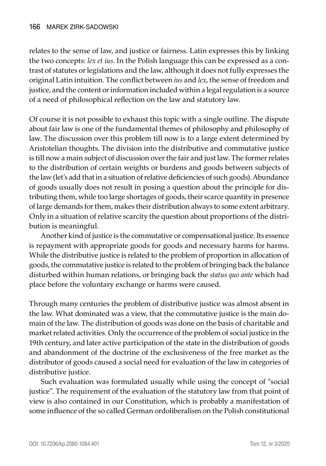relates to the sense of law, and justice or fairness. Latin expresses this by linking the two concepts: *lex et ius*. In the Polish language this can be expressed as a contrast of statutes or legislations and the law, although it does not fully expresses the original Latin intuition. The conflict between *ius* and *lex*, the sense of freedom and justice, and the content or information included within a legal regulation is a source of a need of philosophical reflection on the law and statutory law.

Of course it is not possible to exhaust this topic with a single outline. The dispute about fair law is one of the fundamental themes of philosophy and philosophy of law. The discussion over this problem till now is to a large extent determined by Aristotelian thoughts. The division into the distributive and commutative justice is till now a main subject of discussion over the fair and just law. The former relates to the distribution of certain weights or burdens and goods between subjects of the law (let's add that in a situation of relative deficiencies of such goods). Abundance of goods usually does not result in posing a question about the principle for distributing them, while too large shortages of goods, their scarce quantity in presence of large demands for them, makes their distribution always to some extent arbitrary. Only in a situation of relative scarcity the question about proportions of the distribution is meaningful.

Another kind of justice is the commutative or compensational justice. Its essence is repayment with appropriate goods for goods and necessary harms for harms. While the distributive justice is related to the problem of proportion in allocation of goods, the commutative justice is related to the problem of bringing back the balance disturbed within human relations, or bringing back the *status quo ante* which had place before the voluntary exchange or harms were caused.

Through many centuries the problem of distributive justice was almost absent in the law. What dominated was a view, that the commutative justice is the main domain of the law. The distribution of goods was done on the basis of charitable and market related activities. Only the occurrence of the problem of social justice in the 19th century, and later active participation of the state in the distribution of goods and abandonment of the doctrine of the exclusiveness of the free market as the distributor of goods caused a social need for evaluation of the law in categories of distributive justice.

Such evaluation was formulated usually while using the concept of "social justice". The requirement of the evaluation of the statutory law from that point of view is also contained in our Constitution, which is probably a manifestation of some influence of the so called German ordoliberalism on the Polish constitutional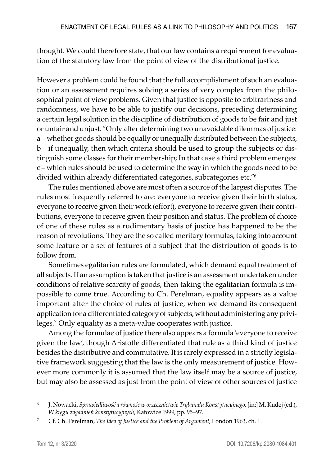thought. We could therefore state, that our law contains a requirement for evaluation of the statutory law from the point of view of the distributional justice.

However a problem could be found that the full accomplishment of such an evaluation or an assessment requires solving a series of very complex from the philosophical point of view problems. Given that justice is opposite to arbitrariness and randomness, we have to be able to justify our decisions, preceding determining a certain legal solution in the discipline of distribution of goods to be fair and just or unfair and unjust. "Only after determining two unavoidable dilemmas of justice: a – whether goods should be equally or unequally distributed between the subjects, b – if unequally, then which criteria should be used to group the subjects or distinguish some classes for their membership; In that case a third problem emerges: c – which rules should be used to determine the way in which the goods need to be divided within already differentiated categories, subcategories etc."<sup>6</sup>

The rules mentioned above are most often a source of the largest disputes. The rules most frequently referred to are: everyone to receive given their birth status, everyone to receive given their work (effort), everyone to receive given their contributions, everyone to receive given their position and status. The problem of choice of one of these rules as a rudimentary basis of justice has happened to be the reason of revolutions. They are the so called meritary formulas, taking into account some feature or a set of features of a subject that the distribution of goods is to follow from.

Sometimes egalitarian rules are formulated, which demand equal treatment of all subjects. If an assumption is taken that justice is an assessment undertaken under conditions of relative scarcity of goods, then taking the egalitarian formula is impossible to come true. According to Ch. Perelman, equality appears as a value important after the choice of rules of justice, when we demand its consequent application for a differentiated category of subjects, without administering any privileges.<sup>7</sup> Only equality as a meta-value cooperates with justice.

Among the formulae of justice there also appears a formula 'everyone to receive given the law', though Aristotle differentiated that rule as a third kind of justice besides the distributive and commutative. It is rarely expressed in a strictly legislative framework suggesting that the law is the only measurement of justice. However more commonly it is assumed that the law itself may be a source of justice, but may also be assessed as just from the point of view of other sources of justice

<sup>6</sup> J. Nowacki, *Sprawiedliwość a równość w orzecznictwie Trybunału Konstytucyjnego*, [in:] M. Kudej (ed.), *W kręgu zagadnień konstytucyjnych*, Katowice 1999, pp. 95–97.

<sup>7</sup> Cf. Ch. Perelman, *The Idea of Justice and the Problem of Argument*, London 1963, ch. 1.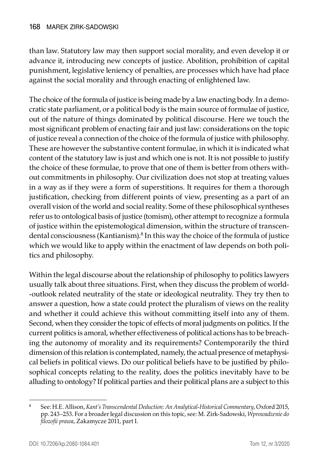than law. Statutory law may then support social morality, and even develop it or advance it, introducing new concepts of justice. Abolition, prohibition of capital punishment, legislative leniency of penalties, are processes which have had place against the social morality and through enacting of enlightened law.

The choice of the formula of justice is being made by a law enacting body. In a democratic state parliament, or a political body is the main source of formulae of justice, out of the nature of things dominated by political discourse. Here we touch the most significant problem of enacting fair and just law: considerations on the topic of justice reveal a connection of the choice of the formula of justice with philosophy. These are however the substantive content formulae, in which it is indicated what content of the statutory law is just and which one is not. It is not possible to justify the choice of these formulae, to prove that one of them is better from others without commitments in philosophy. Our civilization does not stop at treating values in a way as if they were a form of superstitions. It requires for them a thorough justification, checking from different points of view, presenting as a part of an overall vision of the world and social reality. Some of these philosophical syntheses refer us to ontological basis of justice (tomism), other attempt to recognize a formula of justice within the epistemological dimension, within the structure of transcendental consciousness (Kantianism).8 In this way the choice of the formula of justice which we would like to apply within the enactment of law depends on both politics and philosophy.

Within the legal discourse about the relationship of philosophy to politics lawyers usually talk about three situations. First, when they discuss the problem of worldoutlook related neutrality of the state or ideological neutrality. They try then to answer a question, how a state could protect the pluralism of views on the reality and whether it could achieve this without committing itself into any of them. Second, when they consider the topic of effects of moral judgments on politics. If the current politics is amoral, whether effectiveness of political actions has to be breaching the autonomy of morality and its requirements? Contemporarily the third dimension of this relation is contemplated, namely, the actual presence of metaphysical beliefs in political views. Do our political beliefs have to be justified by philosophical concepts relating to the reality, does the politics inevitably have to be alluding to ontology? If political parties and their political plans are a subject to this

<sup>8</sup> See: H.E. Allison, *Kant's Transcendental Deduction: An Analytical-Historical Commentary*, Oxford 2015, pp. 243–253. For a broader legal discussion on this topic, see: M. Zirk-Sadowski, *Wprowadzenie do filozofii prawa*, Zakamycze 2011, part I.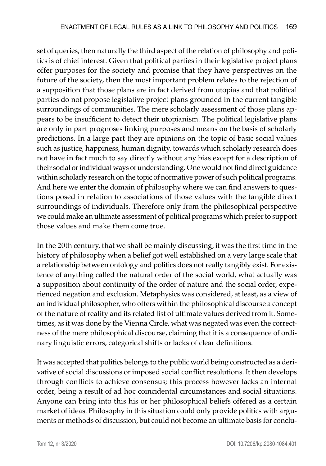set of queries, then naturally the third aspect of the relation of philosophy and politics is of chief interest. Given that political parties in their legislative project plans offer purposes for the society and promise that they have perspectives on the future of the society, then the most important problem relates to the rejection of a supposition that those plans are in fact derived from utopias and that political parties do not propose legislative project plans grounded in the current tangible surroundings of communities. The mere scholarly assessment of those plans appears to be insufficient to detect their utopianism. The political legislative plans are only in part prognoses linking purposes and means on the basis of scholarly predictions. In a large part they are opinions on the topic of basic social values such as justice, happiness, human dignity, towards which scholarly research does not have in fact much to say directly without any bias except for a description of their social or individual ways of understanding. One would not find direct guidance within scholarly research on the topic of normative power of such political programs. And here we enter the domain of philosophy where we can find answers to questions posed in relation to associations of those values with the tangible direct surroundings of individuals. Therefore only from the philosophical perspective we could make an ultimate assessment of political programs which prefer to support those values and make them come true.

In the 20th century, that we shall be mainly discussing, it was the first time in the history of philosophy when a belief got well established on a very large scale that a relationship between ontology and politics does not really tangibly exist. For existence of anything called the natural order of the social world, what actually was a supposition about continuity of the order of nature and the social order, experienced negation and exclusion. Metaphysics was considered, at least, as a view of an individual philosopher, who offers within the philosophical discourse a concept of the nature of reality and its related list of ultimate values derived from it. Sometimes, as it was done by the Vienna Circle, what was negated was even the correctness of the mere philosophical discourse, claiming that it is a consequence of ordinary linguistic errors, categorical shifts or lacks of clear definitions.

It was accepted that politics belongs to the public world being constructed as a derivative of social discussions or imposed social conflict resolutions. It then develops through conflicts to achieve consensus; this process however lacks an internal order, being a result of ad hoc coincidental circumstances and social situations. Anyone can bring into this his or her philosophical beliefs offered as a certain market of ideas. Philosophy in this situation could only provide politics with arguments or methods of discussion, but could not become an ultimate basis for conclu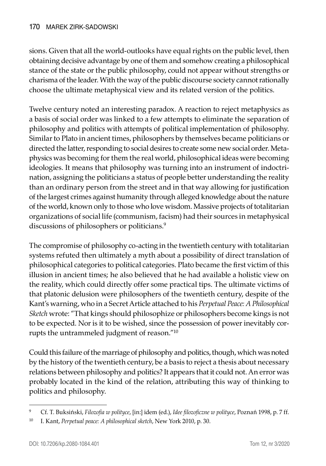sions. Given that all the world-outlooks have equal rights on the public level, then obtaining decisive advantage by one of them and somehow creating a philosophical stance of the state or the public philosophy, could not appear without strengths or charisma of the leader. With the way of the public discourse society cannot rationally choose the ultimate metaphysical view and its related version of the politics.

Twelve century noted an interesting paradox. A reaction to reject metaphysics as a basis of social order was linked to a few attempts to eliminate the separation of philosophy and politics with attempts of political implementation of philosophy. Similar to Plato in ancient times, philosophers by themselves became politicians or directed the latter, responding to social desires to create some new social order. Metaphysics was becoming for them the real world, philosophical ideas were becoming ideologies. It means that philosophy was turning into an instrument of indoctrination, assigning the politicians a status of people better understanding the reality than an ordinary person from the street and in that way allowing for justification of the largest crimes against humanity through alleged knowledge about the nature of the world, known only to those who love wisdom. Massive projects of totalitarian organizations of social life (communism, facism) had their sources in metaphysical discussions of philosophers or politicians.<sup>9</sup>

The compromise of philosophy co-acting in the twentieth century with totalitarian systems refuted then ultimately a myth about a possibility of direct translation of philosophical categories to political categories. Plato became the first victim of this illusion in ancient times; he also believed that he had available a holistic view on the reality, which could directly offer some practical tips. The ultimate victims of that platonic delusion were philosophers of the twentieth century, despite of the Kant's warning, who in a Secret Article attached to his *Perpetual Peace: A Philosophical Sketch* wrote: "That kings should philosophize or philosophers become kings is not to be expected. Nor is it to be wished, since the possession of power inevitably corrupts the untrammeled judgment of reason."<sup>10</sup>

Could this failure of the marriage of philosophy and politics, though, which was noted by the history of the twentieth century, be a basis to reject a thesis about necessary relations between philosophy and politics? It appears that it could not. An error was probably located in the kind of the relation, attributing this way of thinking to politics and philosophy.

<sup>9</sup> Cf. T. Buksiński, *Filozofia w polityce*, [in:] idem (ed.), *Idee filozoficzne w polityce*, Poznań 1998, p. 7 ff.

<sup>10</sup> I. Kant, *Perpetual peace: A philosophical sketch*, New York 2010, p. 30.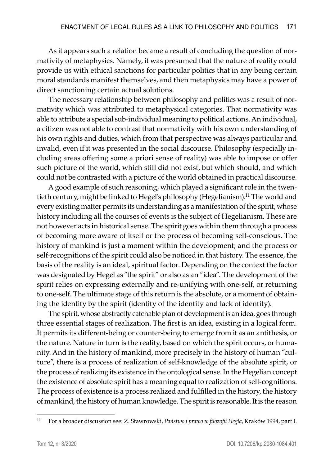As it appears such a relation became a result of concluding the question of normativity of metaphysics. Namely, it was presumed that the nature of reality could provide us with ethical sanctions for particular politics that in any being certain moral standards manifest themselves, and then metaphysics may have a power of direct sanctioning certain actual solutions.

The necessary relationship between philosophy and politics was a result of normativity which was attributed to metaphysical categories. That normativity was able to attribute a special sub-individual meaning to political actions. An individual, a citizen was not able to contrast that normativity with his own understanding of his own rights and duties, which from that perspective was always particular and invalid, even if it was presented in the social discourse. Philosophy (especially including areas offering some a priori sense of reality) was able to impose or offer such picture of the world, which still did not exist, but which should, and which could not be contrasted with a picture of the world obtained in practical discourse.

A good example of such reasoning, which played a significant role in the twentieth century, might be linked to Hegel's philosophy (Hegelianism).<sup>11</sup> The world and every existing matter permits its understanding as a manifestation of the spirit, whose history including all the courses of events is the subject of Hegelianism. These are not however acts in historical sense. The spirit goes within them through a process of becoming more aware of itself or the process of becoming self-conscious. The history of mankind is just a moment within the development; and the process or self-recognitions of the spirit could also be noticed in that history. The essence, the basis of the reality is an ideal, spiritual factor. Depending on the context the factor was designated by Hegel as "the spirit" or also as an "idea". The development of the spirit relies on expressing externally and re-unifying with one-self, or returning to one-self. The ultimate stage of this return is the absolute, or a moment of obtaining the identity by the spirit (identity of the identity and lack of identity).

The spirit, whose abstractly catchable plan of development is an idea, goes through three essential stages of realization. The first is an idea, existing in a logical form. It permits its different-being or counter-being to emerge from it as an antithesis, or the nature. Nature in turn is the reality, based on which the spirit occurs, or humanity. And in the history of mankind, more precisely in the history of human "culture", there is a process of realization of self-knowledge of the absolute spirit, or the process of realizing its existence in the ontological sense. In the Hegelian concept the existence of absolute spirit has a meaning equal to realization of self-cognitions. The process of existence is a process realized and fulfilled in the history, the history of mankind, the history of human knowledge. The spirit is reasonable. It is the reason

<sup>11</sup> For a broader discussion see: Z. Stawrowski, *Państwo i prawo w filozofii Hegla*, Kraków 1994, part I.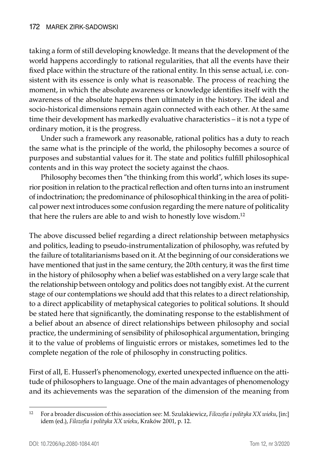taking a form of still developing knowledge. It means that the development of the world happens accordingly to rational regularities, that all the events have their fixed place within the structure of the rational entity. In this sense actual, i.e. consistent with its essence is only what is reasonable. The process of reaching the moment, in which the absolute awareness or knowledge identifies itself with the awareness of the absolute happens then ultimately in the history. The ideal and socio-historical dimensions remain again connected with each other. At the same time their development has markedly evaluative characteristics – it is not a type of ordinary motion, it is the progress.

Under such a framework any reasonable, rational politics has a duty to reach the same what is the principle of the world, the philosophy becomes a source of purposes and substantial values for it. The state and politics fulfill philosophical contents and in this way protect the society against the chaos.

Philosophy becomes then "the thinking from this world", which loses its superior position in relation to the practical reflection and often turns into an instrument of indoctrination; the predominance of philosophical thinking in the area of political power next introduces some confusion regarding the mere nature of politicality that here the rulers are able to and wish to honestly love wisdom.<sup>12</sup>

The above discussed belief regarding a direct relationship between metaphysics and politics, leading to pseudo-instrumentalization of philosophy, was refuted by the failure of totalitarianisms based on it. At the beginning of our considerations we have mentioned that just in the same century, the 20th century, it was the first time in the history of philosophy when a belief was established on a very large scale that the relationship between ontology and politics does not tangibly exist. At the current stage of our contemplations we should add that this relates to a direct relationship, to a direct applicability of metaphysical categories to political solutions. It should be stated here that significantly, the dominating response to the establishment of a belief about an absence of direct relationships between philosophy and social practice, the undermining of sensibility of philosophical argumentation, bringing it to the value of problems of linguistic errors or mistakes, sometimes led to the complete negation of the role of philosophy in constructing politics.

First of all, E. Husserl's phenomenology, exerted unexpected influence on the attitude of philosophers to language. One of the main advantages of phenomenology and its achievements was the separation of the dimension of the meaning from

<sup>12</sup> For a broader discussion of:this association see: M. Szulakiewicz, *Filozofia i polityka XX wieku*, [in:] idem (ed.), *Filozofia i polityka XX wieku*, Kraków 2001, p. 12.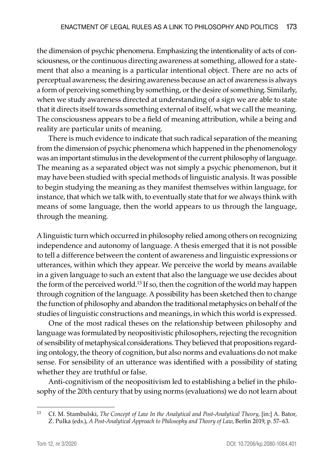the dimension of psychic phenomena. Emphasizing the intentionality of acts of consciousness, or the continuous directing awareness at something, allowed for a statement that also a meaning is a particular intentional object. There are no acts of perceptual awareness; the desiring awareness because an act of awareness is always a form of perceiving something by something, or the desire of something. Similarly, when we study awareness directed at understanding of a sign we are able to state that it directs itself towards something external of itself, what we call the meaning. The consciousness appears to be a field of meaning attribution, while a being and reality are particular units of meaning.

There is much evidence to indicate that such radical separation of the meaning from the dimension of psychic phenomena which happened in the phenomenology was an important stimulus in the development of the current philosophy of language. The meaning as a separated object was not simply a psychic phenomenon, but it may have been studied with special methods of linguistic analysis. It was possible to begin studying the meaning as they manifest themselves within language, for instance, that which we talk with, to eventually state that for we always think with means of some language, then the world appears to us through the language, through the meaning.

A linguistic turn which occurred in philosophy relied among others on recognizing independence and autonomy of language. A thesis emerged that it is not possible to tell a difference between the content of awareness and linguistic expressions or utterances, within which they appear. We perceive the world by means available in a given language to such an extent that also the language we use decides about the form of the perceived world.<sup>13</sup> If so, then the cognition of the world may happen through cognition of the language. A possibility has been sketched then to change the function of philosophy and abandon the traditional metaphysics on behalf of the studies of linguistic constructions and meanings, in which this world is expressed.

One of the most radical theses on the relationship between philosophy and language was formulated by neopositivistic philosophers, rejecting the recognition of sensibility of metaphysical considerations. They believed that propositions regarding ontology, the theory of cognition, but also norms and evaluations do not make sense. For sensibility of an utterance was identified with a possibility of stating whether they are truthful or false.

Anti-cognitivism of the neopositivism led to establishing a belief in the philosophy of the 20th century that by using norms (evaluations) we do not learn about

<sup>13</sup> Cf. M. Stambulski, *The Concept of Law In the Analytical and Post-Analytical Theory*, [in:] A. Bator, Z. Pulka (eds.), *A Post-Analytical Approach to Philosophy and Theory of Law*, Berlin 2019, p. 57–63.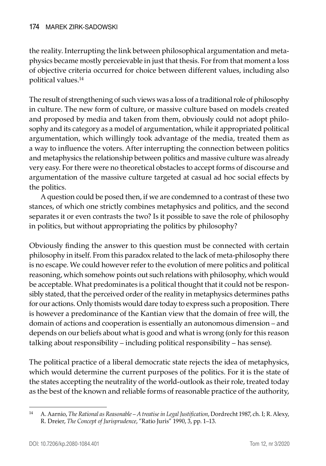the reality. Interrupting the link between philosophical argumentation and metaphysics became mostly perceievable in just that thesis. For from that moment a loss of objective criteria occurred for choice between different values, including also political values.<sup>14</sup>

The result of strengthening of such views was a loss of a traditional role of philosophy in culture. The new form of culture, or massive culture based on models created and proposed by media and taken from them, obviously could not adopt philosophy and its category as a model of argumentation, while it appropriated political argumentation, which willingly took advantage of the media, treated them as a way to influence the voters. After interrupting the connection between politics and metaphysics the relationship between politics and massive culture was already very easy. For there were no theoretical obstacles to accept forms of discourse and argumentation of the massive culture targeted at casual ad hoc social effects by the politics.

A question could be posed then, if we are condemned to a contrast of these two stances, of which one strictly combines metaphysics and politics, and the second separates it or even contrasts the two? Is it possible to save the role of philosophy in politics, but without appropriating the politics by philosophy?

Obviously finding the answer to this question must be connected with certain philosophy in itself. From this paradox related to the lack of meta-philosophy there is no escape. We could however refer to the evolution of mere politics and political reasoning, which somehow points out such relations with philosophy, which would be acceptable. What predominates is a political thought that it could not be responsibly stated, that the perceived order of the reality in metaphysics determines paths for our actions. Only thomists would dare today to express such a proposition. There is however a predominance of the Kantian view that the domain of free will, the domain of actions and cooperation is essentially an autonomous dimension – and depends on our beliefs about what is good and what is wrong (only for this reason talking about responsibility – including political responsibility – has sense).

The political practice of a liberal democratic state rejects the idea of metaphysics, which would determine the current purposes of the politics. For it is the state of the states accepting the neutrality of the world-outlook as their role, treated today as the best of the known and reliable forms of reasonable practice of the authority,

<sup>14</sup> A. Aarnio, *The Rational as Reasonable – A treatise in Legal Justification*, Dordrecht 1987, ch. I; R. Alexy, R. Dreier, *The Concept of Jurisprudence*, "Ratio Juris" 1990, 3, pp. 1–13.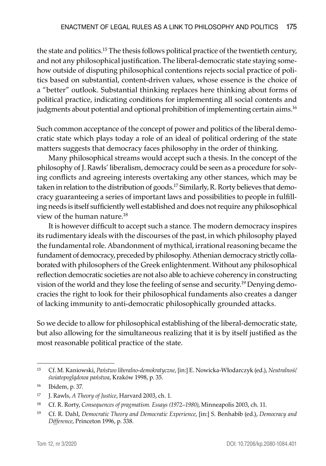the state and politics.15 The thesis follows political practice of the twentieth century, and not any philosophical justification. The liberal-democratic state staying somehow outside of disputing philosophical contentions rejects social practice of politics based on substantial, content-driven values, whose essence is the choice of a "better" outlook. Substantial thinking replaces here thinking about forms of political practice, indicating conditions for implementing all social contents and judgments about potential and optional prohibition of implementing certain aims.<sup>16</sup>

Such common acceptance of the concept of power and politics of the liberal democratic state which plays today a role of an ideal of political ordering of the state matters suggests that democracy faces philosophy in the order of thinking.

Many philosophical streams would accept such a thesis. In the concept of the philosophy of J. Rawls' liberalism, democracy could be seen as a procedure for solving conflicts and agreeing interests overtaking any other stances, which may be taken in relation to the distribution of goods.<sup>17</sup> Similarly, R. Rorty believes that democracy guaranteeing a series of important laws and possibilities to people in fulfilling needs is itself sufficiently well established and does not require any philosophical view of the human nature.18

It is however difficult to accept such a stance. The modern democracy inspires its rudimentary ideals with the discourses of the past, in which philosophy played the fundamental role. Abandonment of mythical, irrational reasoning became the fundament of democracy, preceded by philosophy. Athenian democracy strictly collaborated with philosophers of the Greek enlightenment. Without any philosophical reflection democratic societies are not also able to achieve coherency in constructing vision of the world and they lose the feeling of sense and security.19 Denying democracies the right to look for their philosophical fundaments also creates a danger of lacking immunity to anti-democratic philosophically grounded attacks.

So we decide to allow for philosophical establishing of the liberal-democratic state, but also allowing for the simultaneous realizing that it is by itself justified as the most reasonable political practice of the state.

<sup>15</sup> Cf. M. Kaniowski, *Państwo liberalno-demokratyczne*, [in:] E. Nowicka-Włodarczyk (ed.), *Neutralność światopoglądowa państwa*, Kraków 1998, p. 35.

<sup>16</sup> Ibidem, p. 37.

<sup>17</sup> J. Rawls, *A Theory of Justice*, Harvard 2003, ch. 1.

<sup>18</sup> Cf. R. Rorty, *Consequences of pragmatism. Essays (1972–1980)*, Minneapolis 2003, ch. 11.

<sup>19</sup> Cf. R. Dahl, *Democratic Theory and Democratic Experience*, [in:] S. Benhabib (ed.), *Democracy and Difference*, Princeton 1996, p. 338.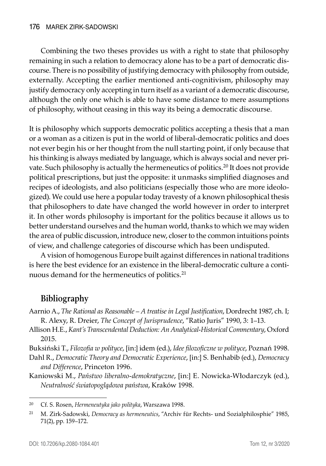Combining the two theses provides us with a right to state that philosophy remaining in such a relation to democracy alone has to be a part of democratic discourse. There is no possibility of justifying democracy with philosophy from outside, externally. Accepting the earlier mentioned anti-cognitivism, philosophy may justify democracy only accepting in turn itself as a variant of a democratic discourse, although the only one which is able to have some distance to mere assumptions of philosophy, without ceasing in this way its being a democratic discourse.

It is philosophy which supports democratic politics accepting a thesis that a man or a woman as a citizen is put in the world of liberal-democratic politics and does not ever begin his or her thought from the null starting point, if only because that his thinking is always mediated by language, which is always social and never private. Such philosophy is actually the hermeneutics of politics.<sup>20</sup> It does not provide political prescriptions, but just the opposite: it unmasks simplified diagnoses and recipes of ideologists, and also politicians (especially those who are more ideologized). We could use here a popular today travesty of a known philosophical thesis that philosophers to date have changed the world however in order to interpret it. In other words philosophy is important for the politics because it allows us to better understand ourselves and the human world, thanks to which we may widen the area of public discussion, introduce new, closer to the common intuitions points of view, and challenge categories of discourse which has been undisputed.

A vision of homogenous Europe built against differences in national traditions is here the best evidence for an existence in the liberal-democratic culture a continuous demand for the hermeneutics of politics.21

## **Bibliography**

- Aarnio A., *The Rational as Reasonable A treatise in Legal Justification*, Dordrecht 1987, ch. I; R. Alexy, R. Dreier, *The Concept of Jurisprudence*, "Ratio Juris" 1990, 3: 1–13.
- Allison H.E., *Kant's Transcendental Deduction: An Analytical-Historical Commentary*, Oxford 2015.

Buksiński T., *Filozofia w polityce*, [in:] idem (ed.), *Idee filozoficzne w polityce*, Poznań 1998.

Dahl R., *Democratic Theory and Democratic Experience*, [in:] S. Benhabib (ed.), *Democracy and Difference*, Princeton 1996.

Kaniowski M., *Państwo liberalno-demokratyczne*, [in:] E. Nowicka-Włodarczyk (ed.), *Neutralność światopoglądowa państwa*, Kraków 1998.

<sup>20</sup> Cf. S. Rosen, *Hermeneutyka jako polityka*, Warszawa 1998.

<sup>21</sup> M. Zirk-Sadowski, *Democracy as hermeneutics*, "Archiv für Rechts- und Sozialphilosphie" 1985, 71(2), pp. 159–172.